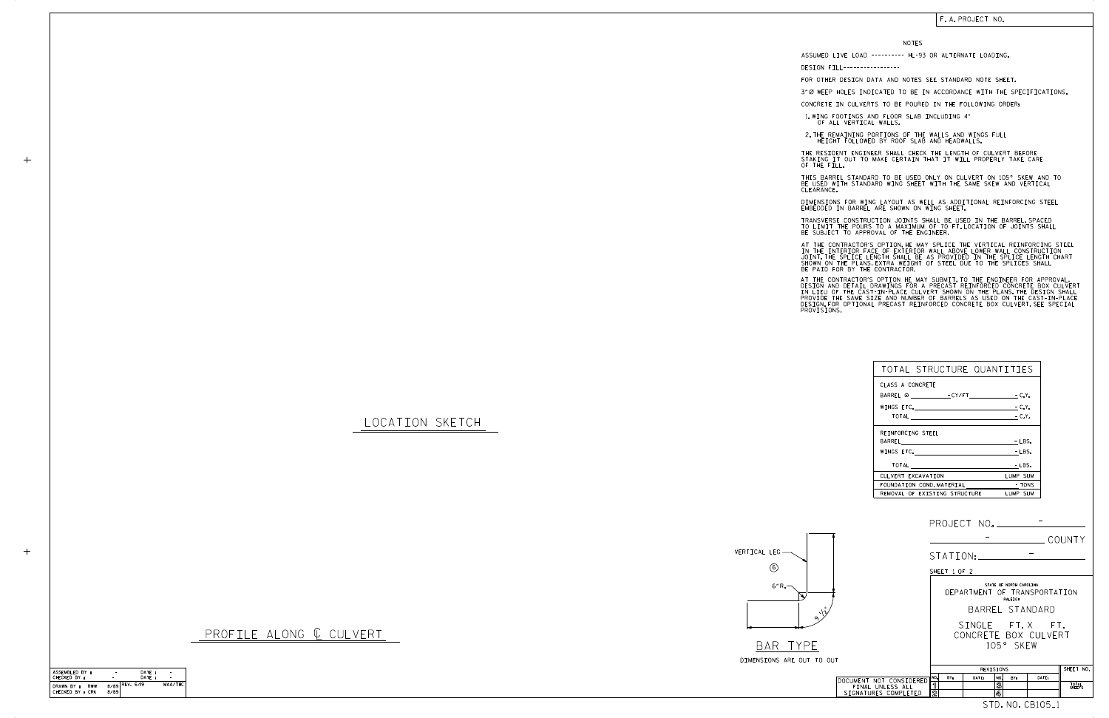## LOCATION SKETCH

 $+$ 

 $+$ 

DIMENSIONS ARE OUT T BAR TYPE



| TOTAL STRUCTURE QUANTITIES                            |                        |
|-------------------------------------------------------|------------------------|
| CLASS A CONCRETE                                      |                        |
|                                                       |                        |
|                                                       | $-C.Y.$                |
| $\overline{1014L}$ - $\overline{C.17}.$               |                        |
| REINFORCING STEEL                                     |                        |
|                                                       | $-$ LBS.               |
| WINGS ETC.                                            | $-LBS.$                |
| TOTAL<br>the control of the control of the control of | - LBS.                 |
| CULVERT EXCAVATION                                    | LUMP SUM               |
| FOUNDATION COND. MATERIAL                             | <b>Example 19 TONS</b> |
| REMOVAL OF EXISTING STRUCTURE                         | LUMP SUM               |

## F. A. PROJECT NO.

## NOTES

DESIGN FILL-----------------

FOR OTHER DESIGN DATA AND NOTES SEE STANDARD NOTE SHEET.

3" Ø WEEP HOLES INDICATED TO BE IN ACCORDANCE WITH THE SPECIFICATIONS.

CONCRETE IN CULVERTS TO BE POURED IN THE FOLLOWING ORDER:

1.WING FOOTINGS AND FLOOR SLAB INCLUDING 4"<br>OF ALL VERTICAL WALLS.

2.THE REMAINING PORTIONS OF THE WALLS AND WINGS FULL<br>HEIGHT FOLLOWED BY ROOF SLAB AND HEADWALLS.

THE RESIDENT ENGINEER SHALL CHECK THE LENGTH OF CULVERT BEFORE<br>STAKING IT OUT TO MAKE CERTAIN THAT IT WILL PROPERLY TAKE CARE<br>OF THE FILL.

IN THE INTERIOR FACE OF EXTERIOR WALL ABOVE LOWER WALL CONSTRUCTION<br>JOINT THE SPLICE LENGTH SHALL BE AS PROVIDED IN THE SPLICE LENGTH CHART<br>SHOWN ON THE PLANS EXTRA WEIGHT OF STEEL DUE TO THE SPLICES SHALL<br>BE PAID FOR BY T AT THE CONTRACTOR'S OPTION, HE MAY SPLICE THE VERTICAL REINFORCING STEEL

AT THE CONTRACTOR'S OPTION HE MAY SUBMIT, TO THE ENGINEER FOR APPROVAL,<br>DESIGN AND DETAIL DRAWINGS FOR A PRECAST REINFORCED CONCRETE BOX CULVERT<br>IN LIEU OF THE CAST-IN-PLACE CULVERT SHOWN ON THE PLANS.THE DESIGN SHALL<br>PROV

BE USED WITH STANDARD WING SHEET WITH THE SAME SKEW AND VERTICAL CLEARANCE. THIS BARREL STANDARD TO BE USED ONLY ON CULVERT ON 105° SKEW AND TO

DIMENSIONS FOR WING LAYOUT AS WELL AS ADDITIONAL REINFORCING STEEL<br>EMBEDDED IN BARREL ARE SHOWN ON WING SHEET.

TRANSVERSE CONSTRUCTION JOINTS SHALL BE USED IN THE BARREL,SPACED<br>TO LIMIT THE POURS TO A MAXIMUM OF 70 FT.LOCATION OF JOINTS SHALL<br>BE SUBJECT TO APPROVAL OF THE ENGINEER.

|                                                                     |                                                                    | PROJECT NO. ______________              |                                            |                  |                 |  |
|---------------------------------------------------------------------|--------------------------------------------------------------------|-----------------------------------------|--------------------------------------------|------------------|-----------------|--|
|                                                                     |                                                                    |                                         |                                            |                  | COUNTY          |  |
|                                                                     |                                                                    | STATION: _____                          |                                            |                  |                 |  |
|                                                                     | SHEET 1 OF 2                                                       |                                         |                                            |                  |                 |  |
|                                                                     | STATE OF NORTH CAROLINA<br>DEPARTMENT OF TRANSPORTATION<br>RALEIGH |                                         |                                            |                  |                 |  |
| $\sqrt{v}$                                                          | BARREL STANDARD                                                    |                                         |                                            |                  |                 |  |
|                                                                     |                                                                    | SINGLE FT.X FT.<br>CONCRETE BOX CULVERT | 105° SKEW                                  |                  |                 |  |
| TO OUT                                                              |                                                                    |                                         |                                            |                  |                 |  |
|                                                                     | SHEET NO.<br>REVISIONS                                             |                                         |                                            |                  |                 |  |
| DOCUMENT NOT CONSIDERED<br>FINAL UNLESS ALL<br>SIGNATURES COMPLETED | NO.<br>BY:<br>ิ์ โ<br>$\overline{2}$                               | DATE:                                   | NO.<br>BY:<br>$\overline{\mathbb{3}}$<br>4 | DATE:            | TOTAL<br>SHEETS |  |
|                                                                     |                                                                    |                                         |                                            | STD. NO. CB105_1 |                 |  |

ASSUMED LIVE LOAD ---------- HL-93 OR ALTERNATE LOADING.

| ASSEMBLED BY :                        |      | DATE:            |         |
|---------------------------------------|------|------------------|---------|
| CHECKED BY :                          |      | DATE:            |         |
| DRAWN BY :<br>RWW<br>CHECKED BY : CRK | 8/89 | $8/89$ REV. 6/19 | MAA/THC |

PROFILE ALONG Q CULVERT